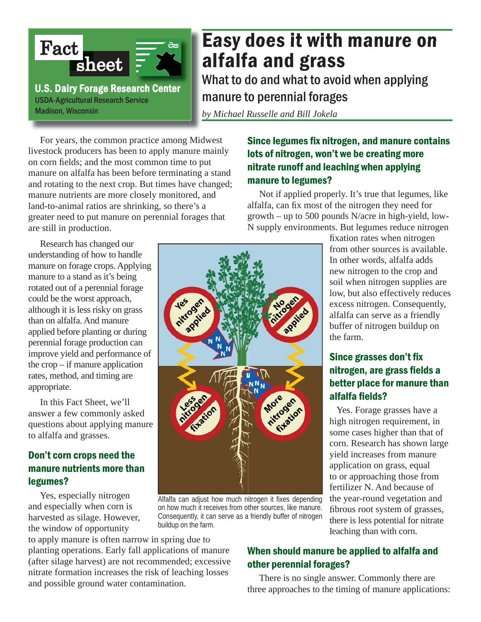

# Easy does it with manure on alfalfa and grass

What to do and what to avoid when applying manure to perennial forages

*by Michael Russelle and Bill Jokela*

 For years, the common practice among Midwest livestock producers has been to apply manure mainly on corn fields; and the most common time to put manure on alfalfa has been before terminating a stand and rotating to the next crop. But times have changed; manure nutrients are more closely monitored, and land-to-animal ratios are shrinking, so there's a greater need to put manure on perennial forages that are still in production.

 Research has changed our understanding of how to handle manure on forage crops. Applying manure to a stand as it's being rotated out of a perennial forage could be the worst approach, although it is less risky on grass than on alfalfa. And manure applied before planting or during perennial forage production can improve yield and performance of the crop – if manure application rates, method, and timing are appropriate.

 In this Fact Sheet, we'll answer a few commonly asked questions about applying manure to alfalfa and grasses.

## Don't corn crops need the manure nutrients more than legumes?

 Yes, especially nitrogen and especially when corn is harvested as silage. However, the window of opportunity

to apply manure is often narrow in spring due to planting operations. Early fall applications of manure (after silage harvest) are not recommended; excessive nitrate formation increases the risk of leaching losses and possible ground water contamination.

## Since legumes fix nitrogen, and manure contains lots of nitrogen, won't we be creating more nitrate runoff and leaching when applying manure to legumes?

 Not if applied properly. It's true that legumes, like alfalfa, can fix most of the nitrogen they need for growth – up to 500 pounds N/acre in high-yield, low-N supply environments. But legumes reduce nitrogen



Alfalfa can adjust how much nitrogen it fixes depending on how much it receives from other sources, like manure. Consequently, it can serve as a friendly buffer of nitrogen buildup on the farm.

fixation rates when nitrogen from other sources is available. In other words, alfalfa adds new nitrogen to the crop and soil when nitrogen supplies are low, but also effectively reduces excess nitrogen. Consequently, alfalfa can serve as a friendly buffer of nitrogen buildup on the farm.

## Since grasses don't fix nitrogen, are grass fields a better place for manure than alfalfa fields?

 Yes. Forage grasses have a high nitrogen requirement, in some cases higher than that of corn. Research has shown large yield increases from manure application on grass, equal to or approaching those from fertilizer N. And because of the year-round vegetation and fibrous root system of grasses, there is less potential for nitrate leaching than with corn.

## When should manure be applied to alfalfa and other perennial forages?

 There is no single answer. Commonly there are three approaches to the timing of manure applications: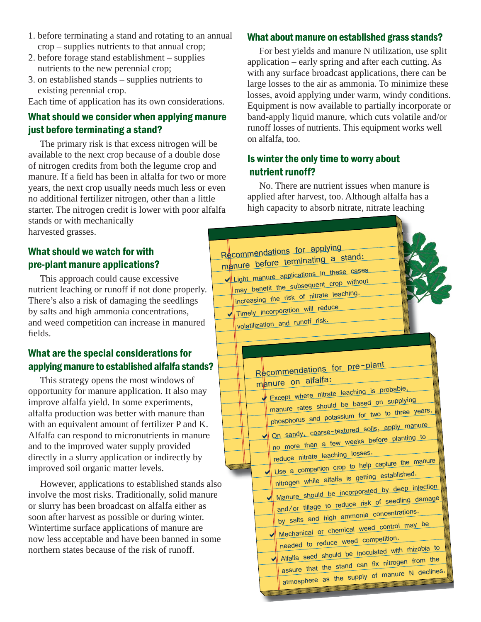- 1. before terminating a stand and rotating to an annual crop – supplies nutrients to that annual crop;
- 2. before forage stand establishment supplies nutrients to the new perennial crop;
- 3. on established stands supplies nutrients to existing perennial crop.

Each time of application has its own considerations.

## What should we consider when applying manure just before terminating a stand?

 The primary risk is that excess nitrogen will be available to the next crop because of a double dose of nitrogen credits from both the legume crop and manure. If a field has been in alfalfa for two or more years, the next crop usually needs much less or even no additional fertilizer nitrogen, other than a little starter. The nitrogen credit is lower with poor alfalfa stands or with mechanically harvested grasses.

### What should we watch for with pre-plant manure applications?

 This approach could cause excessive nutrient leaching or runoff if not done properly. There's also a risk of damaging the seedlings by salts and high ammonia concentrations, and weed competition can increase in manured fields.

## What are the special considerations for applying manure to established alfalfa stands?

 This strategy opens the most windows of opportunity for manure application. It also may improve alfalfa yield. In some experiments, alfalfa production was better with manure than with an equivalent amount of fertilizer P and K. Alfalfa can respond to micronutrients in manure and to the improved water supply provided directly in a slurry application or indirectly by improved soil organic matter levels.

 However, applications to established stands also involve the most risks. Traditionally, solid manure or slurry has been broadcast on alfalfa either as soon after harvest as possible or during winter. Wintertime surface applications of manure are now less acceptable and have been banned in some northern states because of the risk of runoff.

#### What about manure on established grass stands?

 For best yields and manure N utilization, use split application – early spring and after each cutting. As with any surface broadcast applications, there can be large losses to the air as ammonia. To minimize these losses, avoid applying under warm, windy conditions. Equipment is now available to partially incorporate or band-apply liquid manure, which cuts volatile and/or runoff losses of nutrients. This equipment works well on alfalfa, too.

## Is winter the only time to worry about nutrient runoff?

 No. There are nutrient issues when manure is applied after harvest, too. Although alfalfa has a high capacity to absorb nitrate, nitrate leaching

| Recommendations for applying<br>manure before terminating a stand:<br>Ilight manure applications in these cases<br>may benefit the subsequent crop without<br>increasing the risk of nitrate leaching.<br>Timely incorporation will reduce<br>volatilization and runoff risk.                                                                                                                                                                                                                                                                                                                                                                                                                                                                                                                                                                 |
|-----------------------------------------------------------------------------------------------------------------------------------------------------------------------------------------------------------------------------------------------------------------------------------------------------------------------------------------------------------------------------------------------------------------------------------------------------------------------------------------------------------------------------------------------------------------------------------------------------------------------------------------------------------------------------------------------------------------------------------------------------------------------------------------------------------------------------------------------|
| Recommendations for pre-plant<br>manure on alfalfa:<br>Except where nitrate leaching is probable,<br>manure rates should be based on supplying<br>phosphorus and potassium for two to three years.<br>On sandy, coarse-textured soils, apply manure<br>no more than a few weeks before planting to<br>reduce nitrate leaching losses.<br>Use a companion crop to help capture the manure<br>nitrogen while alfalfa is getting established.<br>Manure should be incorporated by deep injection<br>and/or tillage to reduce risk of seedling damage<br>by salts and high ammonia concentrations.<br>Mechanical or chemical weed control may be<br>needed to reduce weed competition.<br>Alfalfa seed should be inoculated with rhizobia to<br>assure that the stand can fix nitrogen from the<br>atmosphere as the supply of manure N declines. |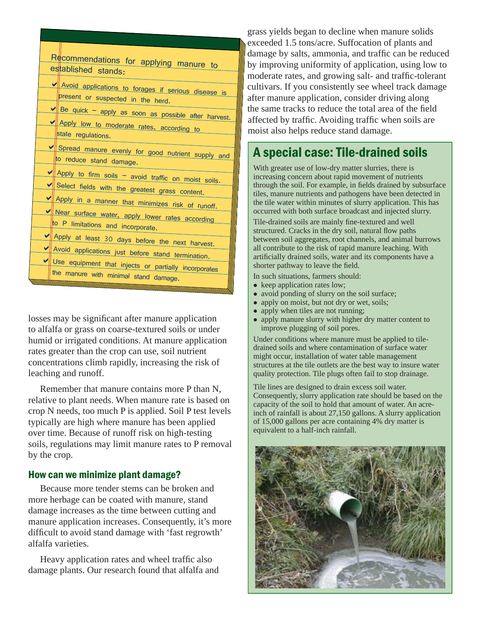| Recommendations for applying manure to                                    |  |  |  |  |
|---------------------------------------------------------------------------|--|--|--|--|
| established stands:                                                       |  |  |  |  |
| V Avoid applications to forages if serious disease is                     |  |  |  |  |
| present or suspected in the herd.                                         |  |  |  |  |
| $\blacktriangleright$ Be quick – apply as soon as possible after harvest. |  |  |  |  |
| Apply low to moderate rates, according to                                 |  |  |  |  |
| state regulations.                                                        |  |  |  |  |
|                                                                           |  |  |  |  |
| Spread manure evenly for good nutrient supply and                         |  |  |  |  |
| to reduce stand damage.                                                   |  |  |  |  |
|                                                                           |  |  |  |  |
| Apply to firm soils - avoid traffic on moist soils.                       |  |  |  |  |
| Select fields with the greatest grass content.                            |  |  |  |  |
| Apply in a manner that minimizes risk of runoff.                          |  |  |  |  |
|                                                                           |  |  |  |  |
| V Near surface water, apply lower rates according                         |  |  |  |  |
| to P limitations and incorporate.                                         |  |  |  |  |
| Apply at least 30 days before the next harvest.                           |  |  |  |  |
|                                                                           |  |  |  |  |
| V Avoid applications just before stand termination.                       |  |  |  |  |
| Use equipment that injects or partially incorporates                      |  |  |  |  |
| the manure with minimal stand damage.                                     |  |  |  |  |
|                                                                           |  |  |  |  |

losses may be significant after manure application to alfalfa or grass on coarse-textured soils or under humid or irrigated conditions. At manure application rates greater than the crop can use, soil nutrient concentrations climb rapidly, increasing the risk of leaching and runoff.

 Remember that manure contains more P than N, relative to plant needs. When manure rate is based on crop N needs, too much P is applied. Soil P test levels typically are high where manure has been applied over time. Because of runoff risk on high-testing soils, regulations may limit manure rates to P removal by the crop.

#### How can we minimize plant damage?

 Because more tender stems can be broken and more herbage can be coated with manure, stand damage increases as the time between cutting and manure application increases. Consequently, it's more difficult to avoid stand damage with 'fast regrowth' alfalfa varieties.

Heavy application rates and wheel traffic also damage plants. Our research found that alfalfa and grass yields began to decline when manure solids exceeded 1.5 tons/acre. Suffocation of plants and damage by salts, ammonia, and traffic can be reduced by improving uniformity of application, using low to moderate rates, and growing salt- and traffic-tolerant cultivars. If you consistently see wheel track damage after manure application, consider driving along the same tracks to reduce the total area of the field affected by traffic. Avoiding traffic when soils are moist also helps reduce stand damage.

# A special case: Tile-drained soils

With greater use of low-dry matter slurries, there is increasing concern about rapid movement of nutrients through the soil. For example, in fields drained by subsurface tiles, manure nutrients and pathogens have been detected in the tile water within minutes of slurry application. This has occurred with both surface broadcast and injected slurry.

Tile-drained soils are mainly fine-textured and well structured. Cracks in the dry soil, natural flow paths between soil aggregates, root channels, and animal burrows all contribute to the risk of rapid manure leaching. With artificially drained soils, water and its components have a shorter pathway to leave the field.

In such situations, farmers should:

- keep application rates low;
- avoid ponding of slurry on the soil surface;
- apply on moist, but not dry or wet, soils;
- apply when tiles are not running;
- apply manure slurry with higher dry matter content to improve plugging of soil pores.

Under conditions where manure must be applied to tiledrained soils and where contamination of surface water might occur, installation of water table management structures at the tile outlets are the best way to insure water quality protection. Tile plugs often fail to stop drainage.

Tile lines are designed to drain excess soil water. Consequently, slurry application rate should be based on the capacity of the soil to hold that amount of water. An acreinch of rainfall is about 27,150 gallons. A slurry application of 15,000 gallons per acre containing 4% dry matter is equivalent to a half-inch rainfall.